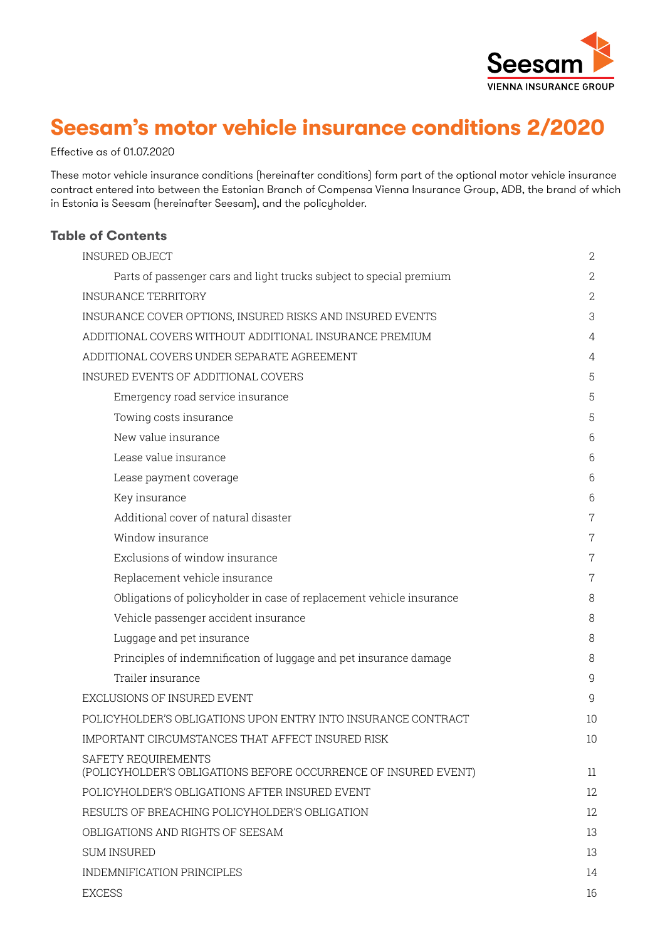

# **Seesam's motor vehicle insurance conditions 2/2020**

Effective as of 01.07.2020

These motor vehicle insurance conditions (hereinafter conditions) form part of the optional motor vehicle insurance contract entered into between the Estonian Branch of Compensa Vienna Insurance Group, ADB, the brand of which in Estonia is Seesam (hereinafter Seesam), and the policyholder.

## **Table of Contents**

| <b>INSURED OBJECT</b>                                                                  | 2              |
|----------------------------------------------------------------------------------------|----------------|
| Parts of passenger cars and light trucks subject to special premium                    | $\overline{2}$ |
| <b>INSURANCE TERRITORY</b>                                                             | 2              |
| INSURANCE COVER OPTIONS, INSURED RISKS AND INSURED EVENTS                              | 3              |
| ADDITIONAL COVERS WITHOUT ADDITIONAL INSURANCE PREMIUM                                 | 4              |
| ADDITIONAL COVERS UNDER SEPARATE AGREEMENT                                             | 4              |
| INSURED EVENTS OF ADDITIONAL COVERS                                                    | 5              |
| Emergency road service insurance                                                       | 5              |
| Towing costs insurance                                                                 | 5              |
| New value insurance                                                                    | 6              |
| Lease value insurance                                                                  | 6              |
| Lease payment coverage                                                                 | 6              |
| Key insurance                                                                          | 6              |
| Additional cover of natural disaster                                                   | $\overline{7}$ |
| Window insurance                                                                       | 7              |
| Exclusions of window insurance                                                         | $\overline{7}$ |
| Replacement vehicle insurance                                                          | 7              |
| Obligations of policyholder in case of replacement vehicle insurance                   | 8              |
| Vehicle passenger accident insurance                                                   | 8              |
| Luggage and pet insurance                                                              | 8              |
| Principles of indemnification of luggage and pet insurance damage                      | 8              |
| Trailer insurance                                                                      | 9              |
| EXCLUSIONS OF INSURED EVENT                                                            | 9              |
| POLICYHOLDER'S OBLIGATIONS UPON ENTRY INTO INSURANCE CONTRACT                          | 10             |
| IMPORTANT CIRCUMSTANCES THAT AFFECT INSURED RISK                                       | 10             |
| SAFETY REQUIREMENTS<br>(POLICYHOLDER'S OBLIGATIONS BEFORE OCCURRENCE OF INSURED EVENT) | $11\,$         |
| POLICYHOLDER'S OBLIGATIONS AFTER INSURED EVENT                                         | 12             |
| RESULTS OF BREACHING POLICYHOLDER'S OBLIGATION                                         | 12             |
| OBLIGATIONS AND RIGHTS OF SEESAM                                                       | 13             |
| <b>SUM INSURED</b>                                                                     | 13             |
| INDEMNIFICATION PRINCIPLES                                                             | 14             |
| <b>EXCESS</b>                                                                          | 16             |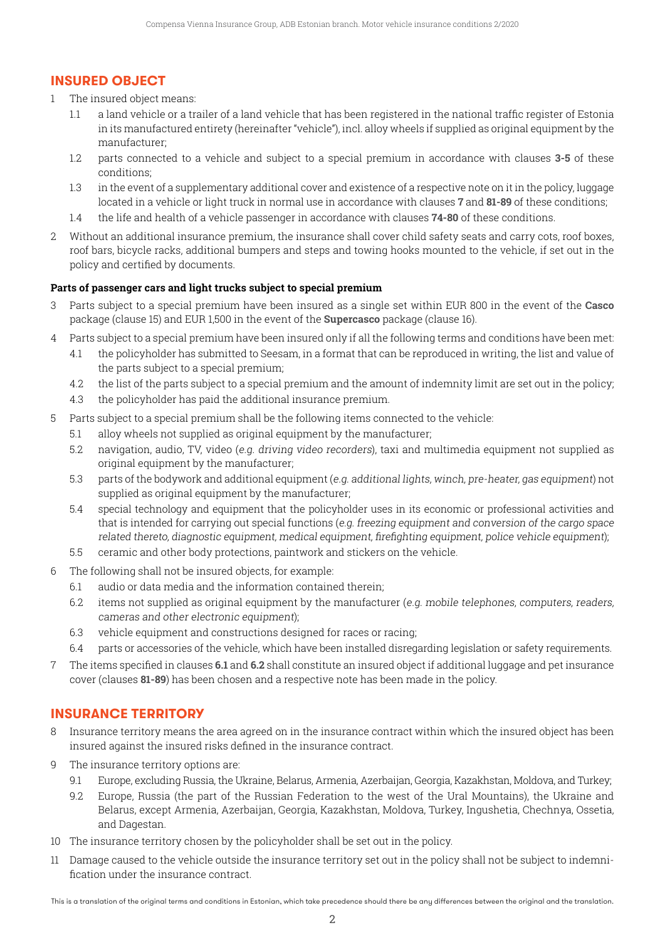# **INSURED OBJECT**

- 1 The insured object means:
	- 1.1 a land vehicle or a trailer of a land vehicle that has been registered in the national traffic register of Estonia in its manufactured entirety (hereinafter "vehicle"), incl. alloy wheels if supplied as original equipment by the manufacturer;
	- 1.2 parts connected to a vehicle and subject to a special premium in accordance with clauses **3-5** of these conditions;
	- 1.3 in the event of a supplementary additional cover and existence of a respective note on it in the policy, luggage located in a vehicle or light truck in normal use in accordance with clauses **7** and **81-89** of these conditions;
	- 1.4 the life and health of a vehicle passenger in accordance with clauses **74-80** of these conditions.
- 2 Without an additional insurance premium, the insurance shall cover child safety seats and carry cots, roof boxes, roof bars, bicycle racks, additional bumpers and steps and towing hooks mounted to the vehicle, if set out in the policy and certified by documents.

## **Parts of passenger cars and light trucks subject to special premium**

- 3 Parts subject to a special premium have been insured as a single set within EUR 800 in the event of the **Casco** package (clause 15) and EUR 1,500 in the event of the **Supercasco** package (clause 16).
- 4 Parts subject to a special premium have been insured only if all the following terms and conditions have been met:
	- 4.1 the policyholder has submitted to Seesam, in a format that can be reproduced in writing, the list and value of the parts subject to a special premium;
	- 4.2 the list of the parts subject to a special premium and the amount of indemnity limit are set out in the policy;
	- 4.3 the policyholder has paid the additional insurance premium.
- 5 Parts subject to a special premium shall be the following items connected to the vehicle:
	- 5.1 alloy wheels not supplied as original equipment by the manufacturer;
	- 5.2 navigation, audio, TV, video (e.g. driving video recorders), taxi and multimedia equipment not supplied as original equipment by the manufacturer;
	- 5.3 parts of the bodywork and additional equipment (e.g. additional lights, winch, pre-heater, gas equipment) not supplied as original equipment by the manufacturer;
	- 5.4 special technology and equipment that the policyholder uses in its economic or professional activities and that is intended for carrying out special functions (e.g. freezing equipment and conversion of the cargo space related thereto, diagnostic equipment, medical equipment, firefighting equipment, police vehicle equipment);
	- 5.5 ceramic and other body protections, paintwork and stickers on the vehicle.
- 6 The following shall not be insured objects, for example:
	- 6.1 audio or data media and the information contained therein;
	- 6.2 items not supplied as original equipment by the manufacturer (e.g. mobile telephones, computers, readers, cameras and other electronic equipment);
	- 6.3 vehicle equipment and constructions designed for races or racing;
	- 6.4 parts or accessories of the vehicle, which have been installed disregarding legislation or safety requirements.
- 7 The items specified in clauses **6.1** and **6.2** shall constitute an insured object if additional luggage and pet insurance cover (clauses **81-89**) has been chosen and a respective note has been made in the policy.

# **INSURANCE TERRITORY**

- 8 Insurance territory means the area agreed on in the insurance contract within which the insured object has been insured against the insured risks defined in the insurance contract.
- 9 The insurance territory options are:
	- 9.1 Europe, excluding Russia, the Ukraine, Belarus, Armenia, Azerbaijan, Georgia, Kazakhstan, Moldova, and Turkey;
	- 9.2 Europe, Russia (the part of the Russian Federation to the west of the Ural Mountains), the Ukraine and Belarus, except Armenia, Azerbaijan, Georgia, Kazakhstan, Moldova, Turkey, Ingushetia, Chechnya, Ossetia, and Dagestan.
- 10 The insurance territory chosen by the policyholder shall be set out in the policy.
- 11 Damage caused to the vehicle outside the insurance territory set out in the policy shall not be subject to indemnification under the insurance contract.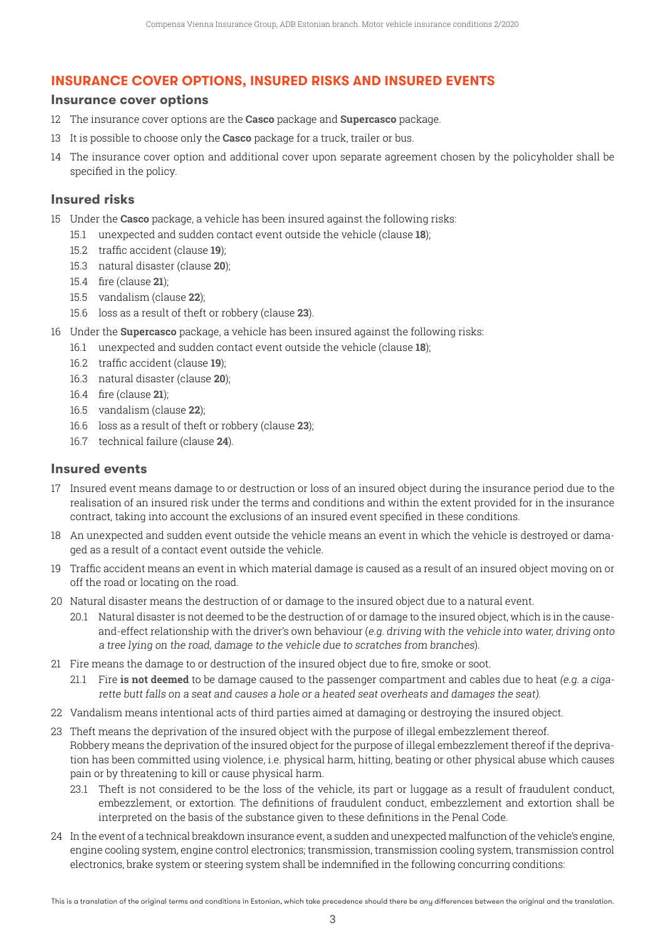# **INSURANCE COVER OPTIONS, INSURED RISKS AND INSURED EVENTS**

## **Insurance cover options**

- 12 The insurance cover options are the **Casco** package and **Supercasco** package.
- 13 It is possible to choose only the **Casco** package for a truck, trailer or bus.
- 14 The insurance cover option and additional cover upon separate agreement chosen by the policyholder shall be specified in the policy.

## **Insured risks**

- 15 Under the **Casco** package, a vehicle has been insured against the following risks:
	- 15.1 unexpected and sudden contact event outside the vehicle (clause **18**);
	- 15.2 traffic accident (clause **19**);
	- 15.3 natural disaster (clause **20**);
	- 15.4 fire (clause **21**);
	- 15.5 vandalism (clause **22**);
	- 15.6 loss as a result of theft or robbery (clause **23**).
- 16 Under the **Supercasco** package, a vehicle has been insured against the following risks:
	- 16.1 unexpected and sudden contact event outside the vehicle (clause **18**);
	- 16.2 traffic accident (clause **19**);
	- 16.3 natural disaster (clause **20**);
	- 16.4 fire (clause **21**);
	- 16.5 vandalism (clause **22**);
	- 16.6 loss as a result of theft or robbery (clause **23**);
	- 16.7 technical failure (clause **24**).

## **Insured events**

- 17 Insured event means damage to or destruction or loss of an insured object during the insurance period due to the realisation of an insured risk under the terms and conditions and within the extent provided for in the insurance contract, taking into account the exclusions of an insured event specified in these conditions.
- 18 An unexpected and sudden event outside the vehicle means an event in which the vehicle is destroyed or damaged as a result of a contact event outside the vehicle.
- 19 Traffic accident means an event in which material damage is caused as a result of an insured object moving on or off the road or locating on the road.
- 20 Natural disaster means the destruction of or damage to the insured object due to a natural event.
	- 20.1 Natural disaster is not deemed to be the destruction of or damage to the insured object, which is in the causeand-effect relationship with the driver's own behaviour (e.g. driving with the vehicle into water, driving onto a tree lying on the road, damage to the vehicle due to scratches from branches).
- 21 Fire means the damage to or destruction of the insured object due to fire, smoke or soot.
	- 21.1 Fire **is not deemed** to be damage caused to the passenger compartment and cables due to heat (e.g. a cigarette butt falls on a seat and causes a hole or a heated seat overheats and damages the seat).
- 22 Vandalism means intentional acts of third parties aimed at damaging or destroying the insured object.
- 23 Theft means the deprivation of the insured object with the purpose of illegal embezzlement thereof. Robbery means the deprivation of the insured object for the purpose of illegal embezzlement thereof if the deprivation has been committed using violence, i.e. physical harm, hitting, beating or other physical abuse which causes pain or by threatening to kill or cause physical harm.
	- 23.1 Theft is not considered to be the loss of the vehicle, its part or luggage as a result of fraudulent conduct, embezzlement, or extortion. The definitions of fraudulent conduct, embezzlement and extortion shall be interpreted on the basis of the substance given to these definitions in the Penal Code.
- 24 In the event of a technical breakdown insurance event, a sudden and unexpected malfunction of the vehicle's engine, engine cooling system, engine control electronics; transmission, transmission cooling system, transmission control electronics, brake system or steering system shall be indemnified in the following concurring conditions: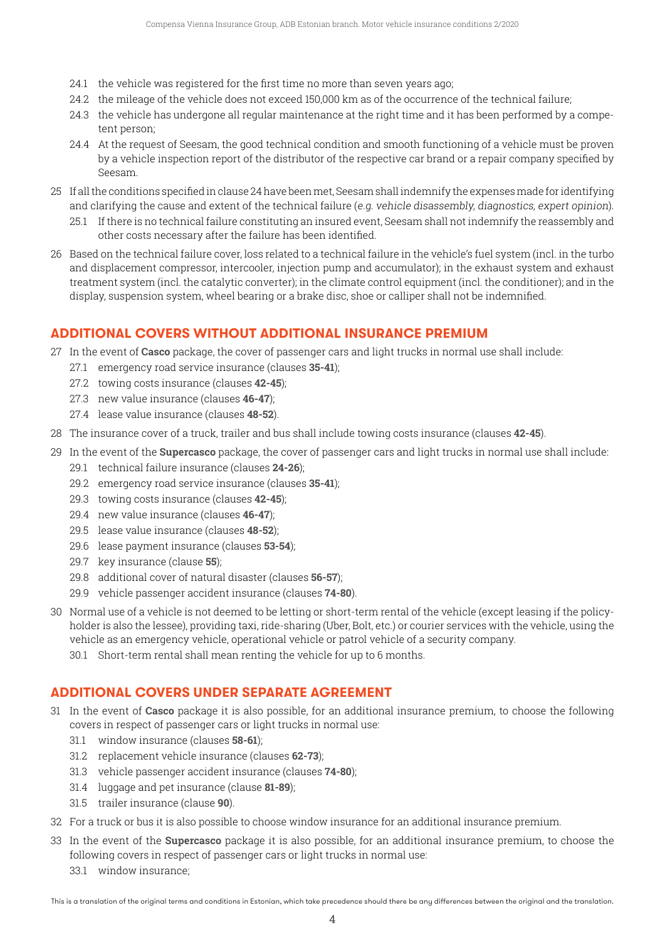- 24.1 the vehicle was registered for the first time no more than seven years ago;
- 24.2 the mileage of the vehicle does not exceed 150,000 km as of the occurrence of the technical failure;
- 24.3 the vehicle has undergone all regular maintenance at the right time and it has been performed by a competent person;
- 24.4 At the request of Seesam, the good technical condition and smooth functioning of a vehicle must be proven by a vehicle inspection report of the distributor of the respective car brand or a repair company specified by Seesam.
- 25 If allthe conditions specified inclause 24have beenmet, Seesamshallindemnify the expensesmade for identifying and clarifying the cause and extent of the technical failure (e.g. vehicle disassembly, diagnostics, expert opinion).
	- 25.1 If there is no technical failure constituting an insured event, Seesam shall not indemnify the reassembly and other costs necessary after the failure has been identified.
- 26 Based on the technical failure cover, loss related to a technical failure in the vehicle's fuel system (incl. in the turbo and displacement compressor, intercooler, injection pump and accumulator); in the exhaust system and exhaust treatment system (incl. the catalytic converter); in the climate control equipment (incl. the conditioner); and in the display, suspension system, wheel bearing or a brake disc, shoe or calliper shall not be indemnified.

# **ADDITIONAL COVERS WITHOUT ADDITIONAL INSURANCE PREMIUM**

- 27 In the event of **Casco** package, the cover of passenger cars and light trucks in normal use shall include:
	- 27.1 emergency road service insurance (clauses **35-41**);
	- 27.2 towing costs insurance (clauses **42-45**);
	- 27.3 new value insurance (clauses **46-47**);
	- 27.4 lease value insurance (clauses **48-52**).
- 28 The insurance cover of a truck, trailer and bus shall include towing costs insurance (clauses **42-45**).
- 29 In the event of the **Supercasco** package, the cover of passenger cars and light trucks in normal use shall include: 29.1 technical failure insurance (clauses **24-26**);
	- 29.2 emergency road service insurance (clauses **35-41**);
	- 29.3 towing costs insurance (clauses **42-45**);
	- 29.4 new value insurance (clauses **46-47**);
	- 29.5 lease value insurance (clauses **48-52**);
	- 29.6 lease payment insurance (clauses **53-54**);
	- 29.7 key insurance (clause **55**);
	- 29.8 additional cover of natural disaster (clauses **56-57**);
	- 29.9 vehicle passenger accident insurance (clauses **74-80**).
- 30 Normal use of a vehicle is not deemed to be letting or short-term rental of the vehicle (except leasing if the policyholder is also the lessee), providing taxi, ride-sharing (Uber, Bolt, etc.) or courier services with the vehicle, using the vehicle as an emergency vehicle, operational vehicle or patrol vehicle of a security company.
	- 30.1 Short-term rental shall mean renting the vehicle for up to 6 months.

# **ADDITIONAL COVERS UNDER SEPARATE AGREEMENT**

- 31 In the event of **Casco** package it is also possible, for an additional insurance premium, to choose the following covers in respect of passenger cars or light trucks in normal use:
	- 31.1 window insurance (clauses **58-61**);
	- 31.2 replacement vehicle insurance (clauses **62-73**);
	- 31.3 vehicle passenger accident insurance (clauses **74-80**);
	- 31.4 luggage and pet insurance (clause **81-89**);
	- 31.5 trailer insurance (clause **90**).
- 32 For a truck or bus it is also possible to choose window insurance for an additional insurance premium.
- 33 In the event of the **Supercasco** package it is also possible, for an additional insurance premium, to choose the following covers in respect of passenger cars or light trucks in normal use:
	- 33.1 window insurance;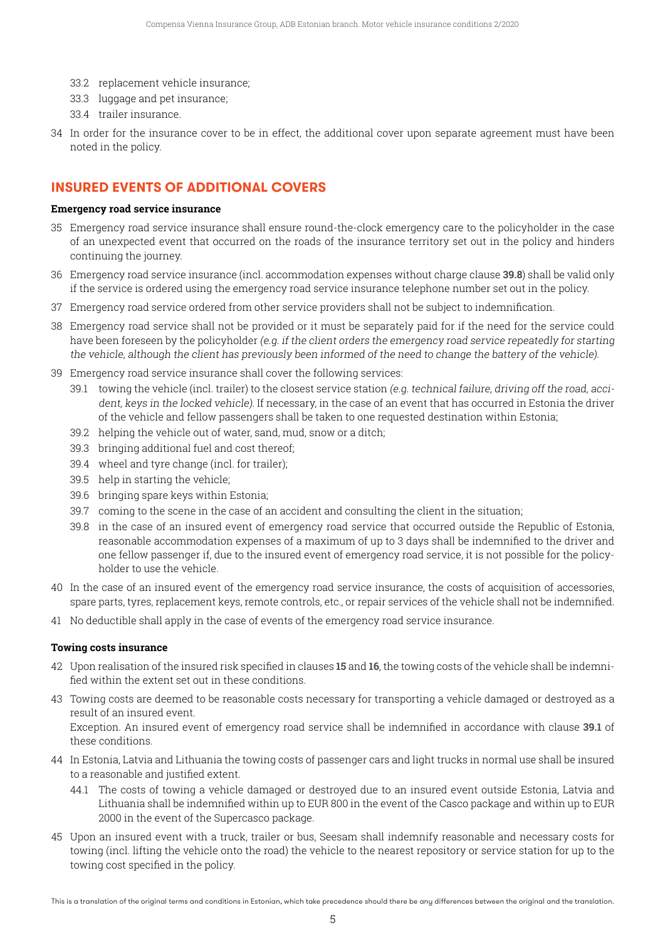- 33.2 replacement vehicle insurance;
- 33.3 luggage and pet insurance;
- 33.4 trailer insurance.
- 34 In order for the insurance cover to be in effect, the additional cover upon separate agreement must have been noted in the policy.

# **INSURED EVENTS OF ADDITIONAL COVERS**

#### **Emergency road service insurance**

- 35 Emergency road service insurance shall ensure round-the-clock emergency care to the policyholder in the case of an unexpected event that occurred on the roads of the insurance territory set out in the policy and hinders continuing the journey.
- 36 Emergency road service insurance (incl. accommodation expenses without charge clause **39.8**) shall be valid only if the service is ordered using the emergency road service insurance telephone number set out in the policy.
- 37 Emergency road service ordered from other service providers shall not be subject to indemnification.
- 38 Emergency road service shall not be provided or it must be separately paid for if the need for the service could have been foreseen by the policyholder (e.g. if the client orders the emergency road service repeatedly for starting the vehicle, although the client has previously been informed of the need to change the battery of the vehicle).
- 39 Emergency road service insurance shall cover the following services:
	- 39.1 towing the vehicle (incl. trailer) to the closest service station (e.g. technical failure, driving off the road, accident, keys in the locked vehicle). If necessary, in the case of an event that has occurred in Estonia the driver of the vehicle and fellow passengers shall be taken to one requested destination within Estonia;
	- 39.2 helping the vehicle out of water, sand, mud, snow or a ditch;
	- 39.3 bringing additional fuel and cost thereof;
	- 39.4 wheel and tyre change (incl. for trailer);
	- 39.5 help in starting the vehicle;
	- 39.6 bringing spare keys within Estonia;
	- 39.7 coming to the scene in the case of an accident and consulting the client in the situation;
	- 39.8 in the case of an insured event of emergency road service that occurred outside the Republic of Estonia, reasonable accommodation expenses of a maximum of up to 3 days shall be indemnified to the driver and one fellow passenger if, due to the insured event of emergency road service, it is not possible for the policyholder to use the vehicle.
- 40 In the case of an insured event of the emergency road service insurance, the costs of acquisition of accessories, spare parts, tyres, replacement keys, remote controls, etc., or repair services of the vehicle shall not be indemnified.
- 41 No deductible shall apply in the case of events of the emergency road service insurance.

#### **Towing costs insurance**

- 42 Upon realisation of the insured risk specified in clauses **15** and **16**, the towing costs of the vehicle shall be indemnified within the extent set out in these conditions.
- 43 Towing costs are deemed to be reasonable costs necessary for transporting a vehicle damaged or destroyed as a result of an insured event.

 Exception. An insured event of emergency road service shall be indemnified in accordance with clause **39.1** of these conditions.

- 44 In Estonia, Latvia and Lithuania the towing costs of passenger cars and light trucks in normal use shall be insured to a reasonable and justified extent.
	- 44.1 The costs of towing a vehicle damaged or destroyed due to an insured event outside Estonia, Latvia and Lithuania shall be indemnified within up to EUR 800 in the event of the Casco package and within up to EUR 2000 in the event of the Supercasco package.
- 45 Upon an insured event with a truck, trailer or bus, Seesam shall indemnify reasonable and necessary costs for towing (incl. lifting the vehicle onto the road) the vehicle to the nearest repository or service station for up to the towing cost specified in the policy.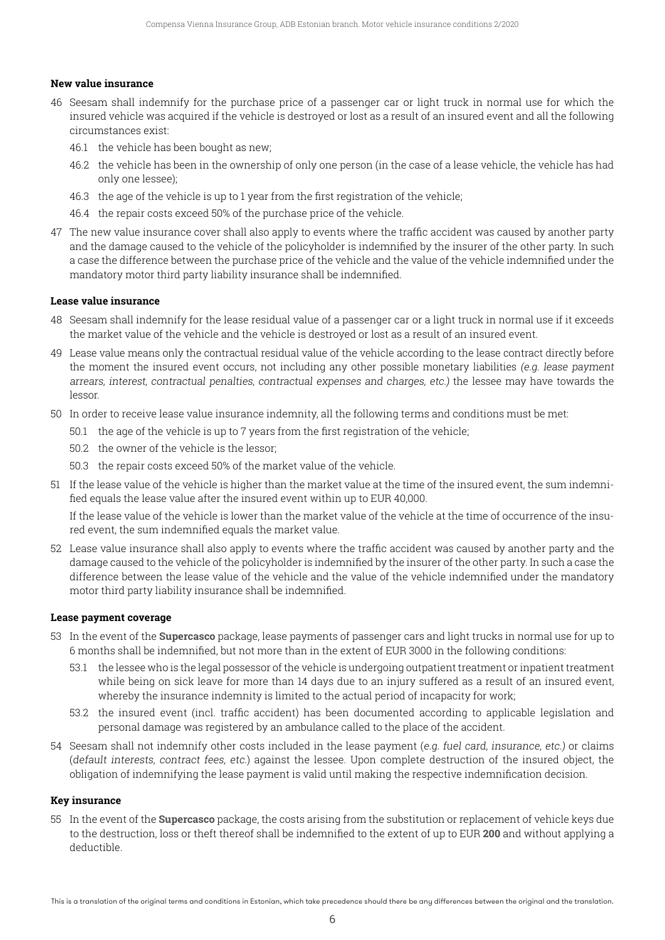#### **New value insurance**

- 46 Seesam shall indemnify for the purchase price of a passenger car or light truck in normal use for which the insured vehicle was acquired if the vehicle is destroyed or lost as a result of an insured event and all the following circumstances exist:
	- 46.1 the vehicle has been bought as new;
	- 46.2 the vehicle has been in the ownership of only one person (in the case of a lease vehicle, the vehicle has had only one lessee);
	- 46.3 the age of the vehicle is up to 1 year from the first registration of the vehicle;
	- 46.4 the repair costs exceed 50% of the purchase price of the vehicle.
- 47 The new value insurance cover shall also apply to events where the traffic accident was caused by another party and the damage caused to the vehicle of the policyholder is indemnified by the insurer of the other party. In such a case the difference between the purchase price of the vehicle and the value of the vehicle indemnified under the mandatory motor third party liability insurance shall be indemnified.

#### **Lease value insurance**

- 48 Seesam shall indemnify for the lease residual value of a passenger car or a light truck in normal use if it exceeds the market value of the vehicle and the vehicle is destroyed or lost as a result of an insured event.
- 49 Lease value means only the contractual residual value of the vehicle according to the lease contract directly before the moment the insured event occurs, not including any other possible monetary liabilities (e.g. lease payment arrears, interest, contractual penalties, contractual expenses and charges, etc.) the lessee may have towards the lessor.
- 50 In order to receive lease value insurance indemnity, all the following terms and conditions must be met:
	- 50.1 the age of the vehicle is up to 7 years from the first registration of the vehicle;
	- 50.2 the owner of the vehicle is the lessor;
	- 50.3 the repair costs exceed 50% of the market value of the vehicle.
- 51 If the lease value of the vehicle is higher than the market value at the time of the insured event, the sum indemnified equals the lease value after the insured event within up to EUR 40,000.

If the lease value of the vehicle is lower than the market value of the vehicle at the time of occurrence of the insured event, the sum indemnified equals the market value.

52 Lease value insurance shall also apply to events where the traffic accident was caused by another party and the damage caused to the vehicle of the policyholder is indemnified by the insurer of the other party. In such a case the difference between the lease value of the vehicle and the value of the vehicle indemnified under the mandatory motor third party liability insurance shall be indemnified.

#### **Lease payment coverage**

- 53 In the event of the **Supercasco** package, lease payments of passenger cars and light trucks in normal use for up to 6 months shall be indemnified, but not more than in the extent of EUR 3000 in the following conditions:
	- 53.1 the lessee who is the legal possessor of the vehicle is undergoing outpatient treatment or inpatient treatment while being on sick leave for more than 14 days due to an injury suffered as a result of an insured event, whereby the insurance indemnity is limited to the actual period of incapacity for work;
	- 53.2 the insured event (incl. traffic accident) has been documented according to applicable legislation and personal damage was registered by an ambulance called to the place of the accident.
- 54 Seesam shall not indemnify other costs included in the lease payment (e.g. fuel card, insurance, etc.) or claims (default interests, contract fees, etc.) against the lessee. Upon complete destruction of the insured object, the obligation of indemnifying the lease payment is valid until making the respective indemnification decision.

#### **Key insurance**

55 In the event of the **Supercasco** package, the costs arising from the substitution or replacement of vehicle keys due to the destruction, loss or theft thereof shall be indemnified to the extent of up to EUR **200** and without applying a deductible.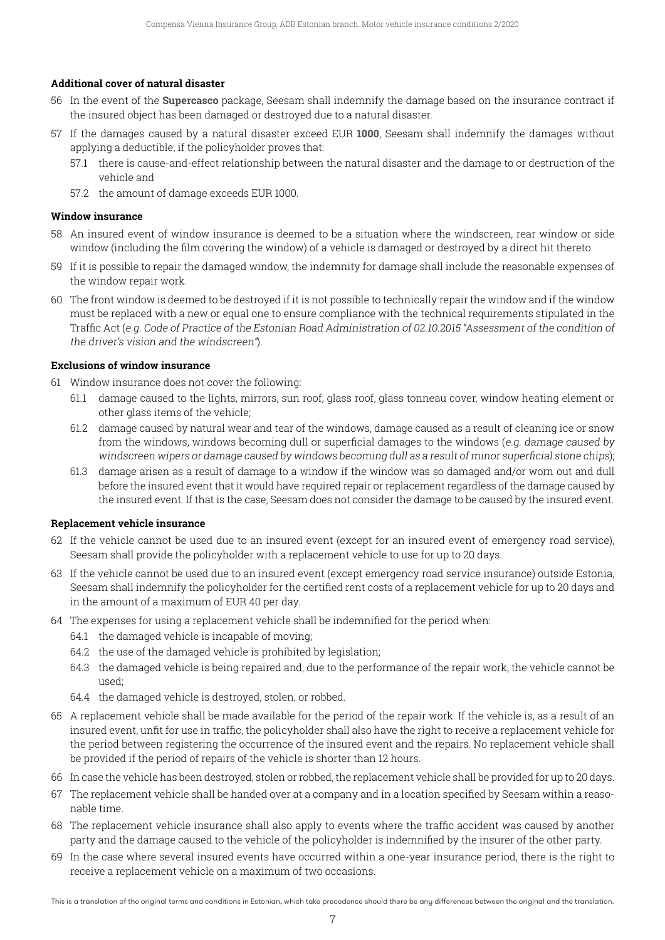#### **Additional cover of natural disaster**

- 56 In the event of the **Supercasco** package, Seesam shall indemnify the damage based on the insurance contract if the insured object has been damaged or destroyed due to a natural disaster.
- 57 If the damages caused by a natural disaster exceed EUR **1000**, Seesam shall indemnify the damages without applying a deductible, if the policyholder proves that:
	- 57.1 there is cause-and-effect relationship between the natural disaster and the damage to or destruction of the vehicle and
	- 57.2 the amount of damage exceeds EUR 1000.

#### **Window insurance**

- 58 An insured event of window insurance is deemed to be a situation where the windscreen, rear window or side window (including the film covering the window) of a vehicle is damaged or destroyed by a direct hit thereto.
- 59 If it is possible to repair the damaged window, the indemnity for damage shall include the reasonable expenses of the window repair work.
- 60 The front window is deemed to be destroyed if it is not possible to technically repair the window and if the window must be replaced with a new or equal one to ensure compliance with the technical requirements stipulated in the Traffic Act (e.g. Code of Practice of the Estonian Road Administration of 02.10.2015 "Assessment of the condition of the driver's vision and the windscreen").

#### **Exclusions of window insurance**

- 61 Window insurance does not cover the following:
	- 61.1 damage caused to the lights, mirrors, sun roof, glass roof, glass tonneau cover, window heating element or other glass items of the vehicle;
	- 61.2 damage caused by natural wear and tear of the windows, damage caused as a result of cleaning ice or snow from the windows, windows becoming dull or superficial damages to the windows (e.g. damage caused by windscreen wipers or damage caused by windows becoming dull as <sup>a</sup> result of minor superficial stone chips);
	- 61.3 damage arisen as a result of damage to a window if the window was so damaged and/or worn out and dull before the insured event that it would have required repair or replacement regardless of the damage caused by the insured event. If that is the case, Seesam does not consider the damage to be caused by the insured event.

#### **Replacement vehicle insurance**

- 62 If the vehicle cannot be used due to an insured event (except for an insured event of emergency road service), Seesam shall provide the policyholder with a replacement vehicle to use for up to 20 days.
- 63 If the vehicle cannot be used due to an insured event (except emergency road service insurance) outside Estonia, Seesam shall indemnify the policyholder for the certified rent costs of a replacement vehicle for up to 20 days and in the amount of a maximum of EUR 40 per day.
- 64 The expenses for using a replacement vehicle shall be indemnified for the period when:
	- 64.1 the damaged vehicle is incapable of moving;
	- 64.2 the use of the damaged vehicle is prohibited by legislation;
	- 64.3 the damaged vehicle is being repaired and, due to the performance of the repair work, the vehicle cannot be used;
	- 64.4 the damaged vehicle is destroyed, stolen, or robbed.
- 65 A replacement vehicle shall be made available for the period of the repair work. If the vehicle is, as a result of an insured event, unfit for use in traffic, the policyholder shall also have the right to receive a replacement vehicle for the period between registering the occurrence of the insured event and the repairs. No replacement vehicle shall be provided if the period of repairs of the vehicle is shorter than 12 hours.
- 66 In case the vehicle has been destroyed, stolen or robbed, the replacement vehicle shall be provided for up to 20 days.
- 67 The replacement vehicle shall be handed over at a company and in a location specified by Seesam within a reasonable time.
- 68 The replacement vehicle insurance shall also apply to events where the traffic accident was caused by another party and the damage caused to the vehicle of the policyholder is indemnified by the insurer of the other party.
- 69 In the case where several insured events have occurred within a one-year insurance period, there is the right to receive a replacement vehicle on a maximum of two occasions.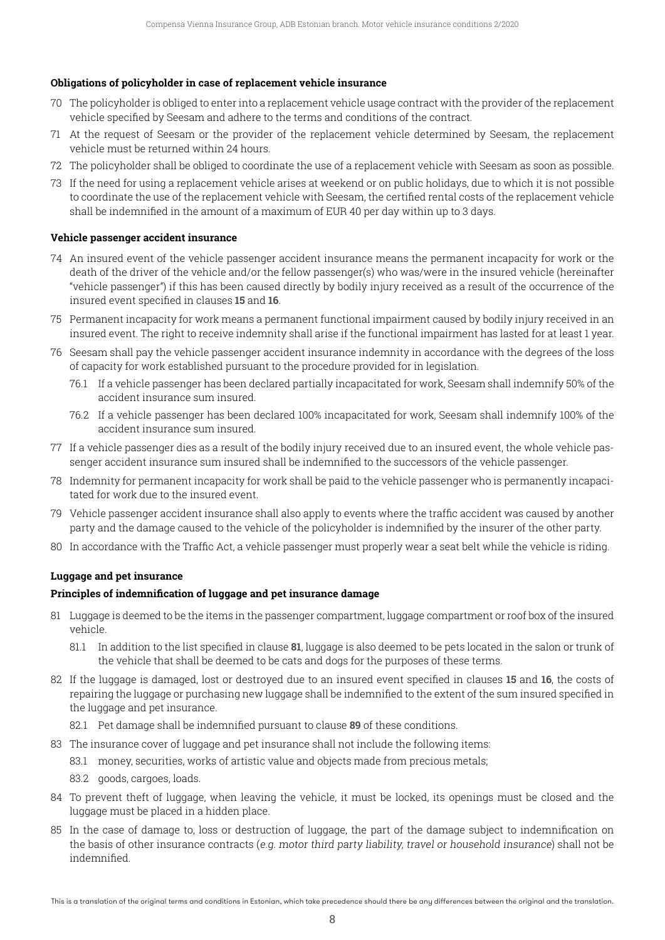#### **Obligations of policyholder in case of replacement vehicle insurance**

- 70 The policyholder is obliged to enter into a replacement vehicle usage contract with the provider of the replacement vehicle specified by Seesam and adhere to the terms and conditions of the contract.
- 71 At the request of Seesam or the provider of the replacement vehicle determined by Seesam, the replacement vehicle must be returned within 24 hours.
- 72 The policyholder shall be obliged to coordinate the use of a replacement vehicle with Seesam as soon as possible.
- 73 If the need for using a replacement vehicle arises at weekend or on public holidays, due to which it is not possible to coordinate the use of the replacement vehicle with Seesam, the certified rental costs of the replacement vehicle shall be indemnified in the amount of a maximum of EUR 40 per day within up to 3 days.

#### **Vehicle passenger accident insurance**

- 74 An insured event of the vehicle passenger accident insurance means the permanent incapacity for work or the death of the driver of the vehicle and/or the fellow passenger(s) who was/were in the insured vehicle (hereinafter "vehicle passenger") if this has been caused directly by bodily injury received as a result of the occurrence of the insured event specified in clauses **15** and **16**.
- 75 Permanent incapacity for work means a permanent functional impairment caused by bodily injury received in an insured event. The right to receive indemnity shall arise if the functional impairment has lasted for at least 1 year.
- 76 Seesam shall pay the vehicle passenger accident insurance indemnity in accordance with the degrees of the loss of capacity for work established pursuant to the procedure provided for in legislation.
	- 76.1 If a vehicle passenger has been declared partially incapacitated for work, Seesam shall indemnify 50% of the accident insurance sum insured.
	- 76.2 If a vehicle passenger has been declared 100% incapacitated for work, Seesam shall indemnify 100% of the accident insurance sum insured.
- 77 If a vehicle passenger dies as a result of the bodily injury received due to an insured event, the whole vehicle passenger accident insurance sum insured shall be indemnified to the successors of the vehicle passenger.
- 78 Indemnity for permanent incapacity for work shall be paid to the vehicle passenger who is permanently incapacitated for work due to the insured event.
- 79 Vehicle passenger accident insurance shall also apply to events where the traffic accident was caused by another party and the damage caused to the vehicle of the policyholder is indemnified by the insurer of the other party.
- 80 In accordance with the Traffic Act, a vehicle passenger must properly wear a seat belt while the vehicle is riding.

#### **Luggage and pet insurance**

#### **Principles of indemnification of luggage and pet insurance damage**

- 81 Luggage is deemed to be the items in the passenger compartment, luggage compartment or roof box of the insured vehicle.
	- 81.1 In addition to the list specified in clause **81**, luggage is also deemed to be pets located in the salon or trunk of the vehicle that shall be deemed to be cats and dogs for the purposes of these terms.
- 82 If the luggage is damaged, lost or destroyed due to an insured event specified in clauses **15** and **16**, the costs of repairing the luggage or purchasing new luggage shall be indemnified to the extent of the sum insured specified in the luggage and pet insurance.
	- 82.1 Pet damage shall be indemnified pursuant to clause **89** of these conditions.
- 83 The insurance cover of luggage and pet insurance shall not include the following items:
	- 83.1 money, securities, works of artistic value and objects made from precious metals;
	- 83.2 goods, cargoes, loads.
- 84 To prevent theft of luggage, when leaving the vehicle, it must be locked, its openings must be closed and the luggage must be placed in a hidden place.
- 85 In the case of damage to, loss or destruction of luggage, the part of the damage subject to indemnification on the basis of other insurance contracts (e.g. motor third party liability, travel or household insurance) shall not be indemnified.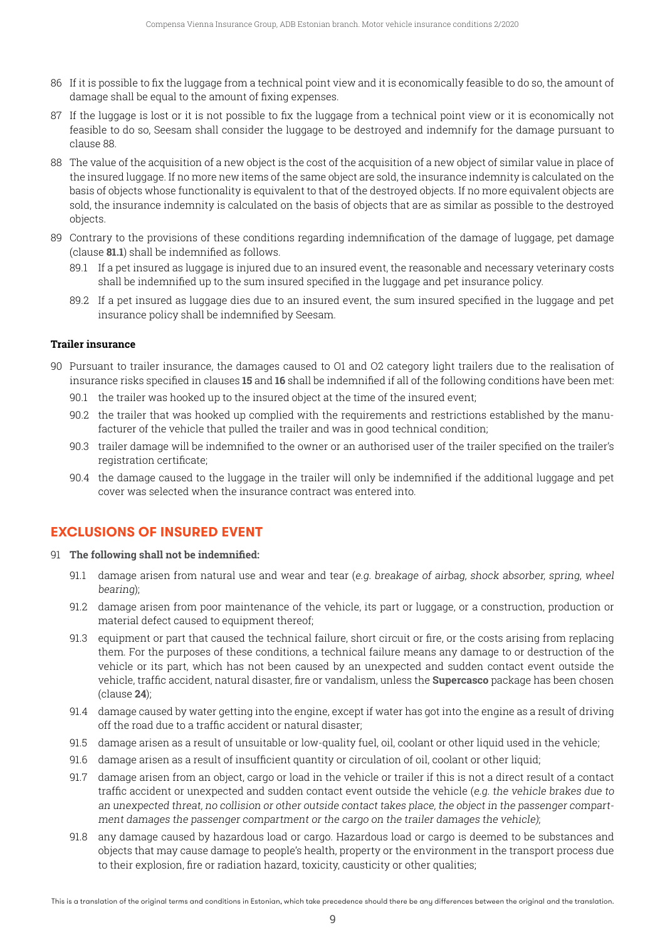- 86 If it is possible to fix the luggage from a technical point view and it is economically feasible to do so, the amount of damage shall be equal to the amount of fixing expenses.
- 87 If the luggage is lost or it is not possible to fix the luggage from a technical point view or it is economically not feasible to do so, Seesam shall consider the luggage to be destroyed and indemnify for the damage pursuant to clause 88.
- 88 The value of the acquisition of a new object is the cost of the acquisition of a new object of similar value in place of the insured luggage. If no more new items of the same object are sold, the insurance indemnity is calculated on the basis of objects whose functionality is equivalent to that of the destroyed objects. If no more equivalent objects are sold, the insurance indemnity is calculated on the basis of objects that are as similar as possible to the destroyed objects.
- 89 Contrary to the provisions of these conditions regarding indemnification of the damage of luggage, pet damage (clause **81.1**) shall be indemnified as follows.
	- 89.1 If a pet insured as luggage is injured due to an insured event, the reasonable and necessary veterinary costs shall be indemnified up to the sum insured specified in the luggage and pet insurance policy.
	- 89.2 If a pet insured as luggage dies due to an insured event, the sum insured specified in the luggage and pet insurance policy shall be indemnified by Seesam.

#### **Trailer insurance**

- 90 Pursuant to trailer insurance, the damages caused to O1 and O2 category light trailers due to the realisation of insurance risks specified in clauses **15** and **16** shall be indemnified if all of the following conditions have been met:
	- 90.1 the trailer was hooked up to the insured object at the time of the insured event;
	- 90.2 the trailer that was hooked up complied with the requirements and restrictions established by the manufacturer of the vehicle that pulled the trailer and was in good technical condition;
	- 90.3 trailer damage will be indemnified to the owner or an authorised user of the trailer specified on the trailer's registration certificate;
	- 90.4 the damage caused to the luggage in the trailer will only be indemnified if the additional luggage and pet cover was selected when the insurance contract was entered into.

## **EXCLUSIONS OF INSURED EVENT**

- 91 **The following shall not be indemnified:**
	- 91.1 damage arisen from natural use and wear and tear (e.g. breakage of airbag, shock absorber, spring, wheel bearing);
	- 91.2 damage arisen from poor maintenance of the vehicle, its part or luggage, or a construction, production or material defect caused to equipment thereof;
	- 91.3 equipment or part that caused the technical failure, short circuit or fire, or the costs arising from replacing them. For the purposes of these conditions, a technical failure means any damage to or destruction of the vehicle or its part, which has not been caused by an unexpected and sudden contact event outside the vehicle, traffic accident, natural disaster, fire or vandalism, unless the **Supercasco** package has been chosen (clause **24**);
	- 91.4 damage caused by water getting into the engine, except if water has got into the engine as a result of driving off the road due to a traffic accident or natural disaster;
	- 91.5 damage arisen as a result of unsuitable or low-quality fuel, oil, coolant or other liquid used in the vehicle;
	- 91.6 damage arisen as a result of insufficient quantity or circulation of oil, coolant or other liquid;
	- 91.7 damage arisen from an object, cargo or load in the vehicle or trailer if this is not a direct result of a contact traffic accident or unexpected and sudden contact event outside the vehicle (e.g. the vehicle brakes due to an unexpected threat, no collision or other outside contact takes place, the object in the passenger compartment damages the passenger compartment or the cargo on the trailer damages the vehicle);
	- 91.8 any damage caused by hazardous load or cargo. Hazardous load or cargo is deemed to be substances and objects that may cause damage to people's health, property or the environment in the transport process due to their explosion, fire or radiation hazard, toxicity, causticity or other qualities;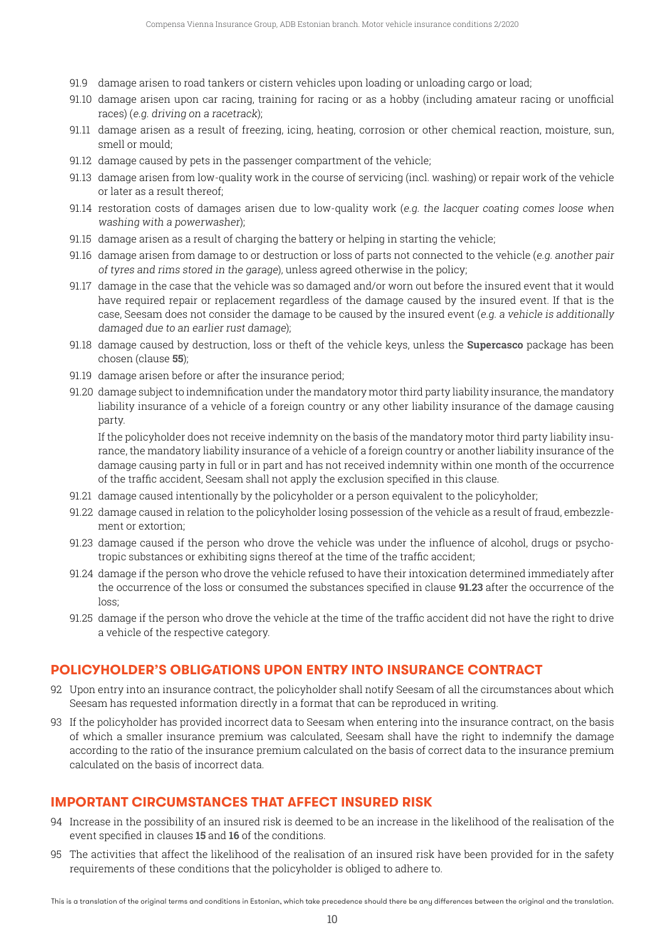- 91.9 damage arisen to road tankers or cistern vehicles upon loading or unloading cargo or load;
- 91.10 damage arisen upon car racing, training for racing or as a hobby (including amateur racing or unofficial races) (e.g. driving on a racetrack);
- 91.11 damage arisen as a result of freezing, icing, heating, corrosion or other chemical reaction, moisture, sun, smell or mould;
- 91.12 damage caused by pets in the passenger compartment of the vehicle;
- 91.13 damage arisen from low-quality work in the course of servicing (incl. washing) or repair work of the vehicle or later as a result thereof;
- 91.14 restoration costs of damages arisen due to low-quality work (e.g. the lacquer coating comes loose when washing with a powerwasher);
- 91.15 damage arisen as a result of charging the battery or helping in starting the vehicle;
- 91.16 damage arisen from damage to or destruction or loss of parts not connected to the vehicle (e.g. another pair of tyres and rims stored in the garage), unless agreed otherwise in the policy;
- 91.17 damage in the case that the vehicle was so damaged and/or worn out before the insured event that it would have required repair or replacement regardless of the damage caused by the insured event. If that is the case, Seesam does not consider the damage to be caused by the insured event (e.g. a vehicle is additionally damaged due to an earlier rust damage);
- 91.18 damage caused by destruction, loss or theft of the vehicle keys, unless the **Supercasco** package has been chosen (clause **55**);
- 91.19 damage arisen before or after the insurance period;
- 91.20 damage subject to indemnification under the mandatory motor third party liability insurance, the mandatory liability insurance of a vehicle of a foreign country or any other liability insurance of the damage causing party.

 If the policyholder does not receive indemnity on the basis of the mandatory motor third party liability insurance, the mandatory liability insurance of a vehicle of a foreign country or another liability insurance of the damage causing party in full or in part and has not received indemnity within one month of the occurrence of the traffic accident, Seesam shall not apply the exclusion specified in this clause.

- 91.21 damage caused intentionally by the policyholder or a person equivalent to the policyholder;
- 91.22 damage caused in relation to the policyholder losing possession of the vehicle as a result of fraud, embezzlement or extortion;
- 91.23 damage caused if the person who drove the vehicle was under the influence of alcohol, drugs or psychotropic substances or exhibiting signs thereof at the time of the traffic accident;
- 91.24 damage if the person who drove the vehicle refused to have their intoxication determined immediately after the occurrence of the loss or consumed the substances specified in clause **91.23** after the occurrence of the loss;
- 91.25 damage if the person who drove the vehicle at the time of the traffic accident did not have the right to drive a vehicle of the respective category.

## **POLICYHOLDER'S OBLIGATIONS UPON ENTRY INTO INSURANCE CONTRACT**

- 92 Upon entry into an insurance contract, the policyholder shall notify Seesam of all the circumstances about which Seesam has requested information directly in a format that can be reproduced in writing.
- 93 If the policyholder has provided incorrect data to Seesam when entering into the insurance contract, on the basis of which a smaller insurance premium was calculated, Seesam shall have the right to indemnify the damage according to the ratio of the insurance premium calculated on the basis of correct data to the insurance premium calculated on the basis of incorrect data.

## **IMPORTANT CIRCUMSTANCES THAT AFFECT INSURED RISK**

- 94 Increase in the possibility of an insured risk is deemed to be an increase in the likelihood of the realisation of the event specified in clauses **15** and **16** of the conditions.
- 95 The activities that affect the likelihood of the realisation of an insured risk have been provided for in the safety requirements of these conditions that the policyholder is obliged to adhere to.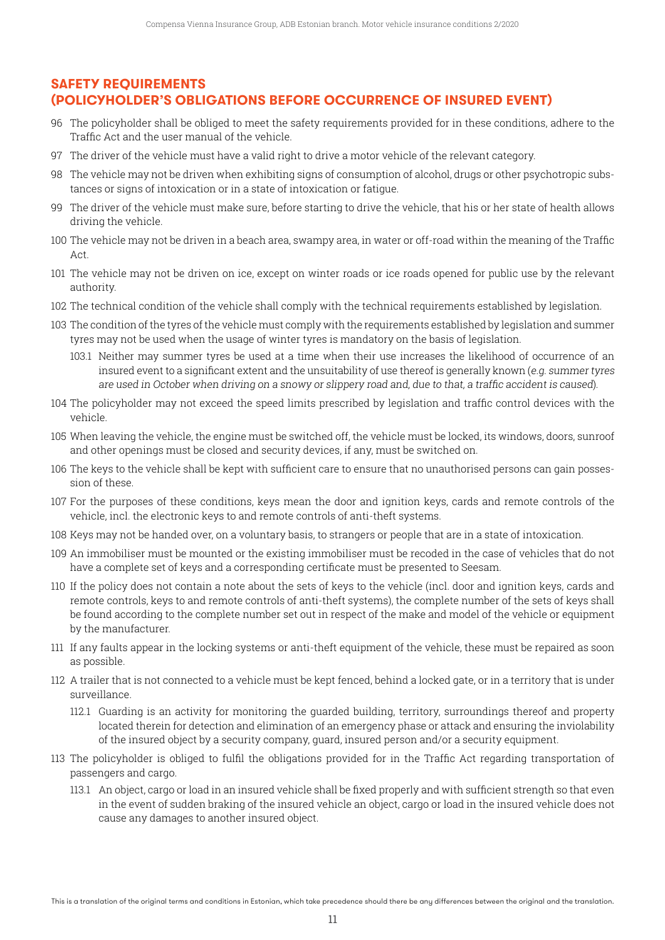## **SAFETY REQUIREMENTS (POLICYHOLDER'S OBLIGATIONS BEFORE OCCURRENCE OF INSURED EVENT)**

- 96 The policyholder shall be obliged to meet the safety requirements provided for in these conditions, adhere to the Traffic Act and the user manual of the vehicle.
- 97 The driver of the vehicle must have a valid right to drive a motor vehicle of the relevant category.
- 98 The vehicle may not be driven when exhibiting signs of consumption of alcohol, drugs or other psychotropic substances or signs of intoxication or in a state of intoxication or fatigue.
- 99 The driver of the vehicle must make sure, before starting to drive the vehicle, that his or her state of health allows driving the vehicle.
- 100 The vehicle may not be driven in a beach area, swampy area, in water or off-road within the meaning of the Traffic Act.
- 101 The vehicle may not be driven on ice, except on winter roads or ice roads opened for public use by the relevant authority.
- 102 The technical condition of the vehicle shall comply with the technical requirements established by legislation.
- 103 The condition of the tyres of the vehicle must comply with the requirements established by legislation and summer tyres may not be used when the usage of winter tyres is mandatory on the basis of legislation.
	- 103.1 Neither may summer tyres be used at a time when their use increases the likelihood of occurrence of an insured event to a significant extent and the unsuitability of use thereof is generally known (e.g. summer tyres are used in October when driving on <sup>a</sup> snowy or slippery road and, due to that, <sup>a</sup> traffic accident is caused).
- 104 The policyholder may not exceed the speed limits prescribed by legislation and traffic control devices with the vehicle.
- 105 When leaving the vehicle, the engine must be switched off, the vehicle must be locked, its windows, doors, sunroof and other openings must be closed and security devices, if any, must be switched on.
- 106 The keys to the vehicle shall be kept with sufficient care to ensure that no unauthorised persons can gain possession of these.
- 107 For the purposes of these conditions, keys mean the door and ignition keys, cards and remote controls of the vehicle, incl. the electronic keys to and remote controls of anti-theft systems.
- 108 Keys may not be handed over, on a voluntary basis, to strangers or people that are in a state of intoxication.
- 109 An immobiliser must be mounted or the existing immobiliser must be recoded in the case of vehicles that do not have a complete set of keys and a corresponding certificate must be presented to Seesam.
- 110 If the policy does not contain a note about the sets of keys to the vehicle (incl. door and ignition keys, cards and remote controls, keys to and remote controls of anti-theft systems), the complete number of the sets of keys shall be found according to the complete number set out in respect of the make and model of the vehicle or equipment by the manufacturer.
- 111 If any faults appear in the locking systems or anti-theft equipment of the vehicle, these must be repaired as soon as possible.
- 112 A trailer that is not connected to a vehicle must be kept fenced, behind a locked gate, or in a territory that is under surveillance.
	- 112.1 Guarding is an activity for monitoring the guarded building, territory, surroundings thereof and property located therein for detection and elimination of an emergency phase or attack and ensuring the inviolability of the insured object by a security company, guard, insured person and/or a security equipment.
- 113 The policyholder is obliged to fulfil the obligations provided for in the Traffic Act regarding transportation of passengers and cargo.
	- 113.1 An object, cargo or load in an insured vehicle shall be fixed properly and with sufficient strength so that even in the event of sudden braking of the insured vehicle an object, cargo or load in the insured vehicle does not cause any damages to another insured object.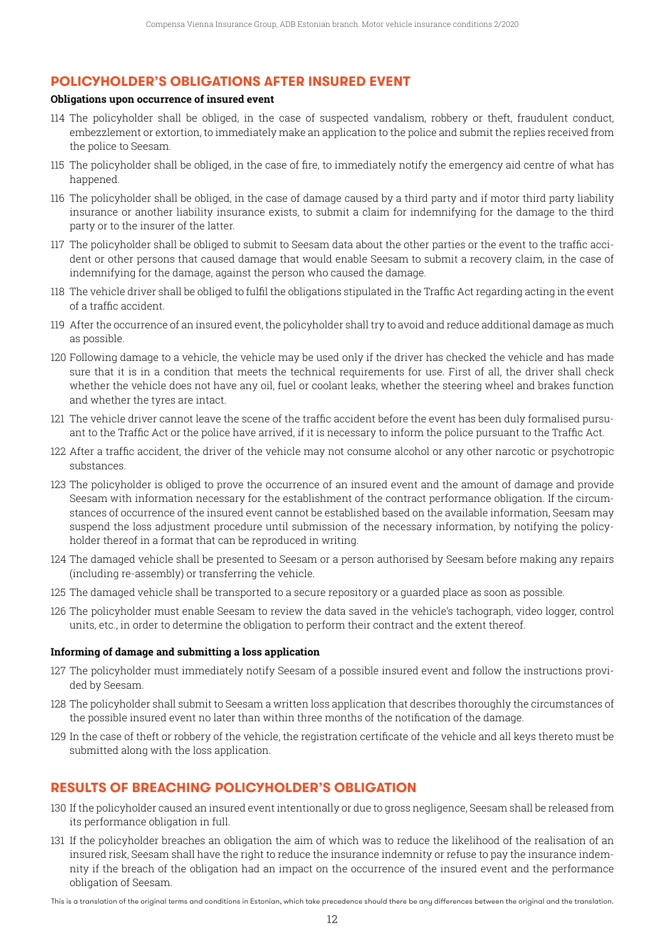## **POLICYHOLDER'S OBLIGATIONS AFTER INSURED EVENT**

#### **Obligations upon occurrence of insured event**

- 114 The policyholder shall be obliged, in the case of suspected vandalism, robbery or theft, fraudulent conduct, embezzlement or extortion, to immediately make an application to the police and submit the replies received from the police to Seesam.
- 115 The policyholder shall be obliged, in the case of fire, to immediately notify the emergency aid centre of what has happened.
- 116 The policyholder shall be obliged, in the case of damage caused by a third party and if motor third party liability insurance or another liability insurance exists, to submit a claim for indemnifying for the damage to the third party or to the insurer of the latter.
- 117 The policyholder shall be obliged to submit to Seesam data about the other parties or the event to the traffic accident or other persons that caused damage that would enable Seesam to submit a recovery claim, in the case of indemnifying for the damage, against the person who caused the damage.
- 118 The vehicle driver shall be obliged to fulfil the obligations stipulated in the Traffic Act regarding acting in the event of a traffic accident.
- 119 After the occurrence of an insured event, the policyholder shall try to avoid and reduce additional damage as much as possible.
- 120 Following damage to a vehicle, the vehicle may be used only if the driver has checked the vehicle and has made sure that it is in a condition that meets the technical requirements for use. First of all, the driver shall check whether the vehicle does not have any oil, fuel or coolant leaks, whether the steering wheel and brakes function and whether the tyres are intact.
- 121 The vehicle driver cannot leave the scene of the traffic accident before the event has been duly formalised pursuant to the Traffic Act or the police have arrived, if it is necessary to inform the police pursuant to the Traffic Act.
- 122 After a traffic accident, the driver of the vehicle may not consume alcohol or any other narcotic or psychotropic substances.
- 123 The policyholder is obliged to prove the occurrence of an insured event and the amount of damage and provide Seesam with information necessary for the establishment of the contract performance obligation. If the circumstances of occurrence of the insured event cannot be established based on the available information, Seesam may suspend the loss adjustment procedure until submission of the necessary information, by notifying the policyholder thereof in a format that can be reproduced in writing.
- 124 The damaged vehicle shall be presented to Seesam or a person authorised by Seesam before making any repairs (including re-assembly) or transferring the vehicle.
- 125 The damaged vehicle shall be transported to a secure repository or a guarded place as soon as possible.
- 126 The policyholder must enable Seesam to review the data saved in the vehicle's tachograph, video logger, control units, etc., in order to determine the obligation to perform their contract and the extent thereof.

#### **Informing of damage and submitting a loss application**

- 127 The policyholder must immediately notify Seesam of a possible insured event and follow the instructions provided by Seesam.
- 128 The policyholder shall submit to Seesam a written loss application that describes thoroughly the circumstances of the possible insured event no later than within three months of the notification of the damage.
- 129 In the case of theft or robbery of the vehicle, the registration certificate of the vehicle and all keys thereto must be submitted along with the loss application.

# **RESULTS OF BREACHING POLICYHOLDER'S OBLIGATION**

- 130 If the policyholder caused an insured event intentionally or due to gross negligence, Seesam shall be released from its performance obligation in full.
- 131 If the policyholder breaches an obligation the aim of which was to reduce the likelihood of the realisation of an insured risk, Seesam shall have the right to reduce the insurance indemnity or refuse to pay the insurance indemnity if the breach of the obligation had an impact on the occurrence of the insured event and the performance obligation of Seesam.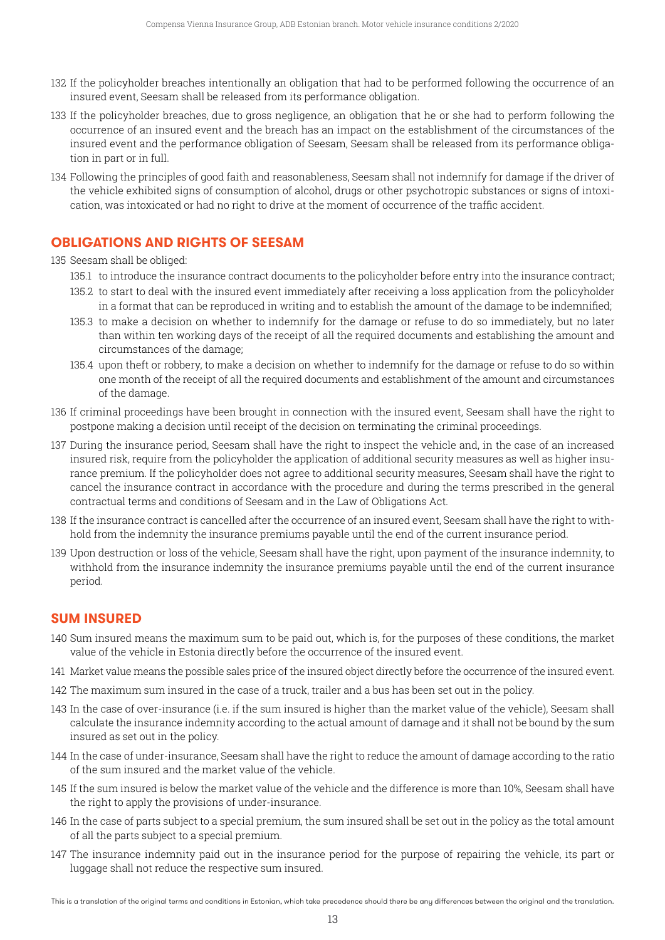- 132 If the policyholder breaches intentionally an obligation that had to be performed following the occurrence of an insured event, Seesam shall be released from its performance obligation.
- 133 If the policyholder breaches, due to gross negligence, an obligation that he or she had to perform following the occurrence of an insured event and the breach has an impact on the establishment of the circumstances of the insured event and the performance obligation of Seesam, Seesam shall be released from its performance obligation in part or in full.
- 134 Following the principles of good faith and reasonableness, Seesam shall not indemnify for damage if the driver of the vehicle exhibited signs of consumption of alcohol, drugs or other psychotropic substances or signs of intoxication, was intoxicated or had no right to drive at the moment of occurrence of the traffic accident.

# **OBLIGATIONS AND RIGHTS OF SEESAM**

135 Seesam shall be obliged:

- 135.1 to introduce the insurance contract documents to the policyholder before entry into the insurance contract;
- 135.2 to start to deal with the insured event immediately after receiving a loss application from the policyholder in a format that can be reproduced in writing and to establish the amount of the damage to be indemnified;
- 135.3 to make a decision on whether to indemnify for the damage or refuse to do so immediately, but no later than within ten working days of the receipt of all the required documents and establishing the amount and circumstances of the damage;
- 135.4 upon theft or robbery, to make a decision on whether to indemnify for the damage or refuse to do so within one month of the receipt of all the required documents and establishment of the amount and circumstances of the damage.
- 136 If criminal proceedings have been brought in connection with the insured event, Seesam shall have the right to postpone making a decision until receipt of the decision on terminating the criminal proceedings.
- 137 During the insurance period, Seesam shall have the right to inspect the vehicle and, in the case of an increased insured risk, require from the policyholder the application of additional security measures as well as higher insurance premium. If the policyholder does not agree to additional security measures, Seesam shall have the right to cancel the insurance contract in accordance with the procedure and during the terms prescribed in the general contractual terms and conditions of Seesam and in the Law of Obligations Act.
- 138 If the insurance contract is cancelled after the occurrence of an insured event, Seesam shall have the right to withhold from the indemnity the insurance premiums payable until the end of the current insurance period.
- 139 Upon destruction or loss of the vehicle, Seesam shall have the right, upon payment of the insurance indemnity, to withhold from the insurance indemnity the insurance premiums payable until the end of the current insurance period.

# **SUM INSURED**

- 140 Sum insured means the maximum sum to be paid out, which is, for the purposes of these conditions, the market value of the vehicle in Estonia directly before the occurrence of the insured event.
- 141 Market value means the possible sales price of the insured object directly before the occurrence of the insured event.
- 142 The maximum sum insured in the case of a truck, trailer and a bus has been set out in the policy.
- 143 In the case of over-insurance (i.e. if the sum insured is higher than the market value of the vehicle), Seesam shall calculate the insurance indemnity according to the actual amount of damage and it shall not be bound by the sum insured as set out in the policy.
- 144 In the case of under-insurance, Seesam shall have the right to reduce the amount of damage according to the ratio of the sum insured and the market value of the vehicle.
- 145 If the sum insured is below the market value of the vehicle and the difference is more than 10%, Seesam shall have the right to apply the provisions of under-insurance.
- 146 In the case of parts subject to a special premium, the sum insured shall be set out in the policy as the total amount of all the parts subject to a special premium.
- 147 The insurance indemnity paid out in the insurance period for the purpose of repairing the vehicle, its part or luggage shall not reduce the respective sum insured.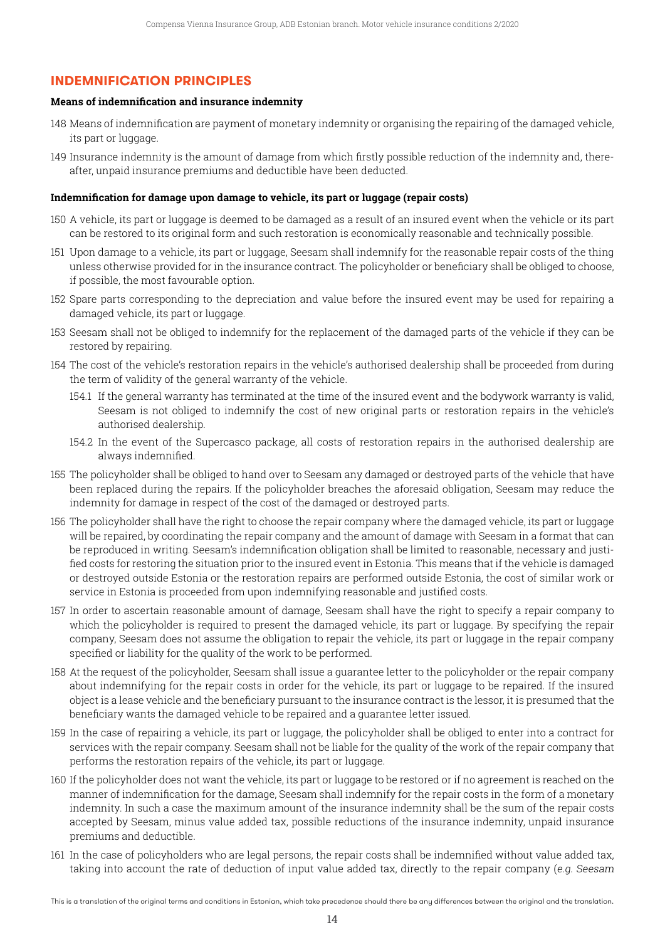# **INDEMNIFICATION PRINCIPLES**

#### **Means of indemnification and insurance indemnity**

- 148 Means of indemnification are payment of monetary indemnity or organising the repairing of the damaged vehicle, its part or luggage.
- 149 Insurance indemnity is the amount of damage from which firstly possible reduction of the indemnity and, thereafter, unpaid insurance premiums and deductible have been deducted.

#### **Indemnification for damage upon damage to vehicle, its part or luggage (repair costs)**

- 150 A vehicle, its part or luggage is deemed to be damaged as a result of an insured event when the vehicle or its part can be restored to its original form and such restoration is economically reasonable and technically possible.
- 151 Upon damage to a vehicle, its part or luggage, Seesam shall indemnify for the reasonable repair costs of the thing unless otherwise provided for in the insurance contract. The policyholder or beneficiary shall be obliged to choose, if possible, the most favourable option.
- 152 Spare parts corresponding to the depreciation and value before the insured event may be used for repairing a damaged vehicle, its part or luggage.
- 153 Seesam shall not be obliged to indemnify for the replacement of the damaged parts of the vehicle if they can be restored by repairing.
- 154 The cost of the vehicle's restoration repairs in the vehicle's authorised dealership shall be proceeded from during the term of validity of the general warranty of the vehicle.
	- 154.1 If the general warranty has terminated at the time of the insured event and the bodywork warranty is valid, Seesam is not obliged to indemnify the cost of new original parts or restoration repairs in the vehicle's authorised dealership.
	- 154.2 In the event of the Supercasco package, all costs of restoration repairs in the authorised dealership are always indemnified.
- 155 The policyholder shall be obliged to hand over to Seesam any damaged or destroyed parts of the vehicle that have been replaced during the repairs. If the policyholder breaches the aforesaid obligation, Seesam may reduce the indemnity for damage in respect of the cost of the damaged or destroyed parts.
- 156 The policyholder shall have the right to choose the repair company where the damaged vehicle, its part or luggage will be repaired, by coordinating the repair company and the amount of damage with Seesam in a format that can be reproduced in writing. Seesam's indemnification obligation shall be limited to reasonable, necessary and justified costs for restoring the situation prior to the insured event in Estonia. This means that if the vehicle is damaged or destroyed outside Estonia or the restoration repairs are performed outside Estonia, the cost of similar work or service in Estonia is proceeded from upon indemnifying reasonable and justified costs.
- 157 In order to ascertain reasonable amount of damage, Seesam shall have the right to specify a repair company to which the policyholder is required to present the damaged vehicle, its part or luggage. By specifying the repair company, Seesam does not assume the obligation to repair the vehicle, its part or luggage in the repair company specified or liability for the quality of the work to be performed.
- 158 At the request of the policyholder, Seesam shall issue a guarantee letter to the policyholder or the repair company about indemnifying for the repair costs in order for the vehicle, its part or luggage to be repaired. If the insured object is a lease vehicle and the beneficiary pursuant to the insurance contract is the lessor, it is presumed that the beneficiary wants the damaged vehicle to be repaired and a guarantee letter issued.
- 159 In the case of repairing a vehicle, its part or luggage, the policyholder shall be obliged to enter into a contract for services with the repair company. Seesam shall not be liable for the quality of the work of the repair company that performs the restoration repairs of the vehicle, its part or luggage.
- 160 If the policyholder does not want the vehicle, its part or luggage to be restored or if no agreement is reached on the manner of indemnification for the damage, Seesam shall indemnify for the repair costs in the form of a monetary indemnity. In such a case the maximum amount of the insurance indemnity shall be the sum of the repair costs accepted by Seesam, minus value added tax, possible reductions of the insurance indemnity, unpaid insurance premiums and deductible.
- 161 In the case of policyholders who are legal persons, the repair costs shall be indemnified without value added tax, taking into account the rate of deduction of input value added tax, directly to the repair company (e.g. Seesam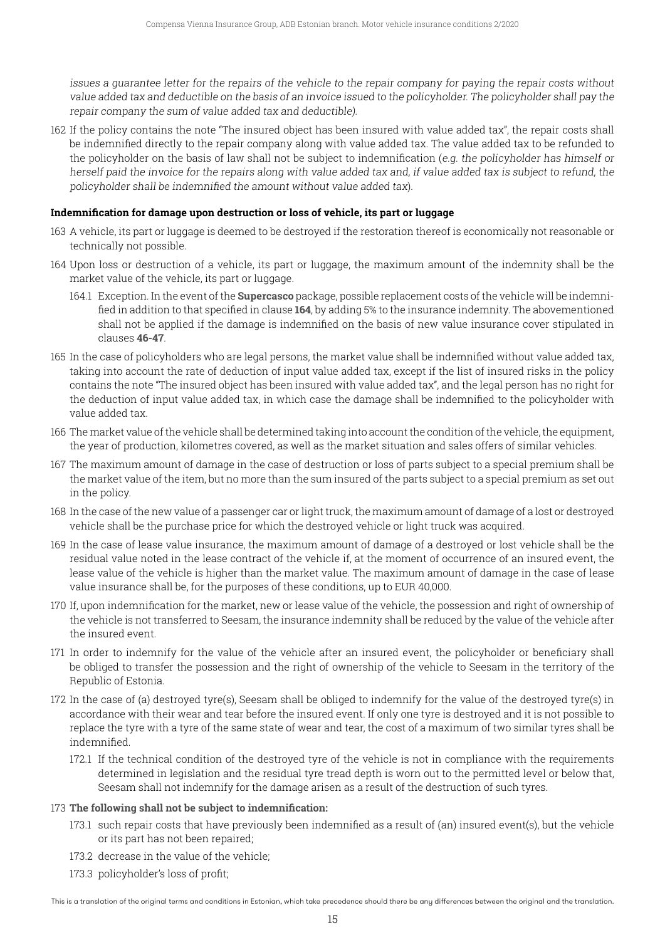issues a guarantee letter for the repairs of the vehicle to the repair company for paying the repair costs without value added tax and deductible on the basis of an invoice issued to the policyholder. The policyholder shall pay the repair company the sum of value added tax and deductible).

162 If the policy contains the note "The insured object has been insured with value added tax", the repair costs shall be indemnified directly to the repair company along with value added tax. The value added tax to be refunded to the policyholder on the basis of law shall not be subject to indemnification (e.g. the policyholder has himself or herself paid the invoice for the repairs along with value added tax and, if value added tax is subject to refund, the policyholder shall be indemnified the amount without value added tax).

#### **Indemnification for damage upon destruction or loss of vehicle, its part or luggage**

- 163 A vehicle, its part or luggage is deemed to be destroyed if the restoration thereof is economically not reasonable or technically not possible.
- 164 Upon loss or destruction of a vehicle, its part or luggage, the maximum amount of the indemnity shall be the market value of the vehicle, its part or luggage.
	- 164.1 Exception. In the event of the **Supercasco** package, possible replacement costs of the vehicle will be indemnified in addition to that specified in clause **164**, by adding 5% to the insurance indemnity. The abovementioned shall not be applied if the damage is indemnified on the basis of new value insurance cover stipulated in clauses **46-47**.
- 165 In the case of policyholders who are legal persons, the market value shall be indemnified without value added tax, taking into account the rate of deduction of input value added tax, except if the list of insured risks in the policy contains the note "The insured object has been insured with value added tax", and the legal person has no right for the deduction of input value added tax, in which case the damage shall be indemnified to the policyholder with value added tax.
- 166 The market value of the vehicle shall be determined taking into account the condition of the vehicle, the equipment, the year of production, kilometres covered, as well as the market situation and sales offers of similar vehicles.
- 167 The maximum amount of damage in the case of destruction or loss of parts subject to a special premium shall be the market value of the item, but no more than the sum insured of the parts subject to a special premium as set out in the policy.
- 168 In the case of the new value of a passenger car or light truck, the maximum amount of damage of a lost or destroyed vehicle shall be the purchase price for which the destroyed vehicle or light truck was acquired.
- 169 In the case of lease value insurance, the maximum amount of damage of a destroyed or lost vehicle shall be the residual value noted in the lease contract of the vehicle if, at the moment of occurrence of an insured event, the lease value of the vehicle is higher than the market value. The maximum amount of damage in the case of lease value insurance shall be, for the purposes of these conditions, up to EUR 40,000.
- 170 If, upon indemnification for the market, new or lease value of the vehicle, the possession and right of ownership of the vehicle is not transferred to Seesam, the insurance indemnity shall be reduced by the value of the vehicle after the insured event.
- 171 In order to indemnify for the value of the vehicle after an insured event, the policyholder or beneficiary shall be obliged to transfer the possession and the right of ownership of the vehicle to Seesam in the territory of the Republic of Estonia.
- 172 In the case of (a) destroyed tyre(s), Seesam shall be obliged to indemnify for the value of the destroyed tyre(s) in accordance with their wear and tear before the insured event. If only one tyre is destroyed and it is not possible to replace the tyre with a tyre of the same state of wear and tear, the cost of a maximum of two similar tyres shall be indemnified.
	- 172.1 If the technical condition of the destroyed tyre of the vehicle is not in compliance with the requirements determined in legislation and the residual tyre tread depth is worn out to the permitted level or below that, Seesam shall not indemnify for the damage arisen as a result of the destruction of such tyres.

#### 173 **The following shall not be subject to indemnification:**

- 173.1 such repair costs that have previously been indemnified as a result of (an) insured event(s), but the vehicle or its part has not been repaired;
- 173.2 decrease in the value of the vehicle;
- 173.3 policyholder's loss of profit;